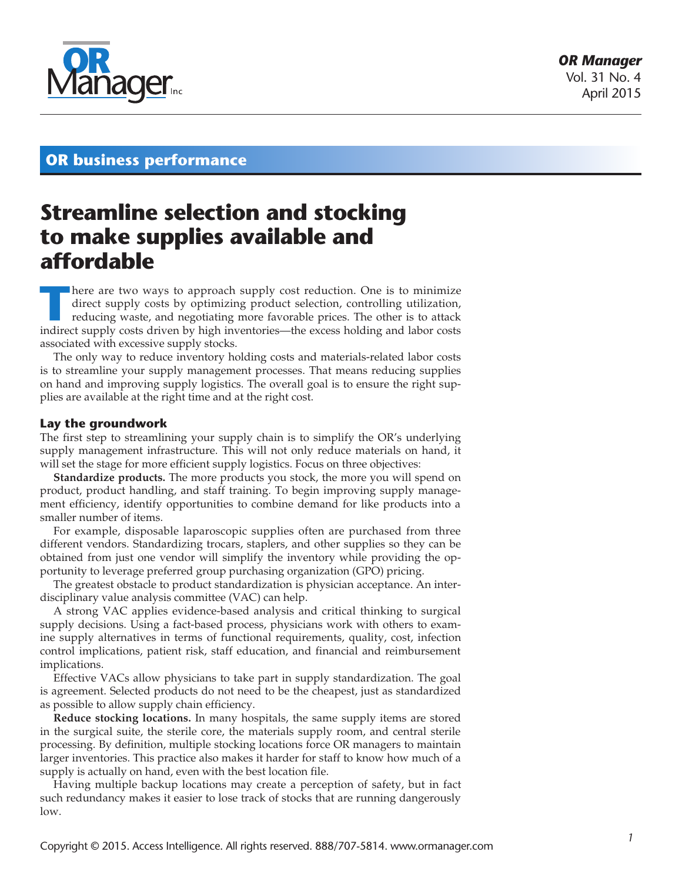

## **OR business performance**

# **Streamline selection and stocking to make supplies available and affordable**

There are two ways to approach supply cost reduction. One is to minimize direct supply costs by optimizing product selection, controlling utilization, reducing waste, and negotiating more favorable prices. The other is to direct supply costs by optimizing product selection, controlling utilization, reducing waste, and negotiating more favorable prices. The other is to attack indirect supply costs driven by high inventories—the excess holding and labor costs associated with excessive supply stocks.

The only way to reduce inventory holding costs and materials-related labor costs is to streamline your supply management processes. That means reducing supplies on hand and improving supply logistics. The overall goal is to ensure the right supplies are available at the right time and at the right cost.

### **Lay the groundwork**

The first step to streamlining your supply chain is to simplify the OR's underlying supply management infrastructure. This will not only reduce materials on hand, it will set the stage for more efficient supply logistics. Focus on three objectives:

**Standardize products.** The more products you stock, the more you will spend on product, product handling, and staff training. To begin improving supply management efficiency, identify opportunities to combine demand for like products into a smaller number of items.

For example, disposable laparoscopic supplies often are purchased from three different vendors. Standardizing trocars, staplers, and other supplies so they can be obtained from just one vendor will simplify the inventory while providing the opportunity to leverage preferred group purchasing organization (GPO) pricing.

The greatest obstacle to product standardization is physician acceptance. An interdisciplinary value analysis committee (VAC) can help.

A strong VAC applies evidence-based analysis and critical thinking to surgical supply decisions. Using a fact-based process, physicians work with others to examine supply alternatives in terms of functional requirements, quality, cost, infection control implications, patient risk, staff education, and financial and reimbursement implications.

Effective VACs allow physicians to take part in supply standardization. The goal is agreement. Selected products do not need to be the cheapest, just as standardized as possible to allow supply chain efficiency.

**Reduce stocking locations.** In many hospitals, the same supply items are stored in the surgical suite, the sterile core, the materials supply room, and central sterile processing. By definition, multiple stocking locations force OR managers to maintain larger inventories. This practice also makes it harder for staff to know how much of a supply is actually on hand, even with the best location file.

Having multiple backup locations may create a perception of safety, but in fact such redundancy makes it easier to lose track of stocks that are running dangerously low.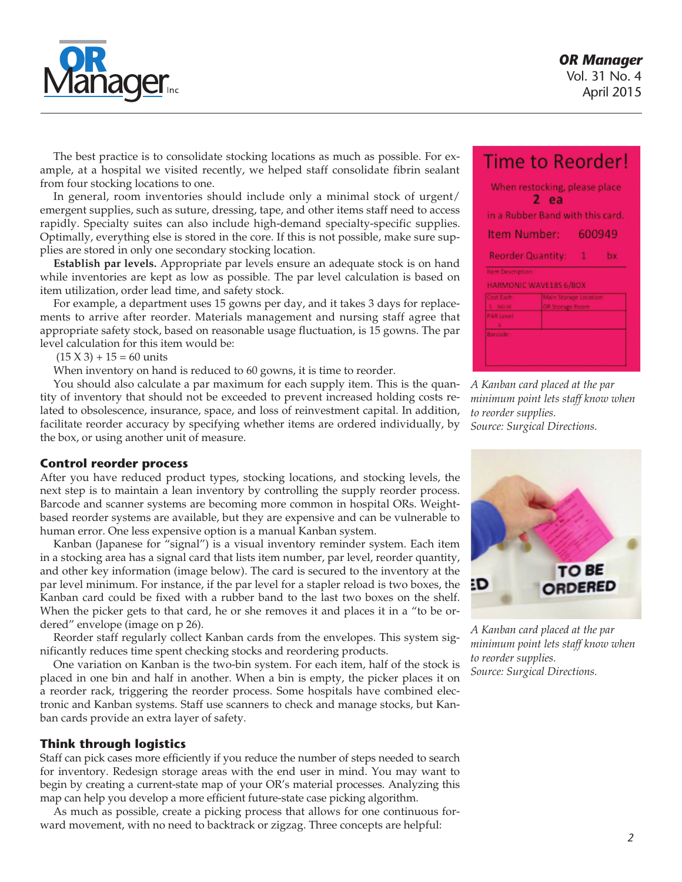

The best practice is to consolidate stocking locations as much as possible. For example, at a hospital we visited recently, we helped staff consolidate fibrin sealant from four stocking locations to one.

In general, room inventories should include only a minimal stock of urgent/ emergent supplies, such as suture, dressing, tape, and other items staff need to access rapidly. Specialty suites can also include high-demand specialty-specific supplies. Optimally, everything else is stored in the core. If this is not possible, make sure supplies are stored in only one secondary stocking location.

**Establish par levels.** Appropriate par levels ensure an adequate stock is on hand while inventories are kept as low as possible. The par level calculation is based on item utilization, order lead time, and safety stock.

For example, a department uses 15 gowns per day, and it takes 3 days for replacements to arrive after reorder. Materials management and nursing staff agree that appropriate safety stock, based on reasonable usage fluctuation, is 15 gowns. The par level calculation for this item would be:

 $(15 X 3) + 15 = 60$  units

When inventory on hand is reduced to 60 gowns, it is time to reorder.

You should also calculate a par maximum for each supply item. This is the quantity of inventory that should not be exceeded to prevent increased holding costs related to obsolescence, insurance, space, and loss of reinvestment capital. In addition, facilitate reorder accuracy by specifying whether items are ordered individually, by the box, or using another unit of measure.

#### **Control reorder process**

After you have reduced product types, stocking locations, and stocking levels, the next step is to maintain a lean inventory by controlling the supply reorder process. Barcode and scanner systems are becoming more common in hospital ORs. Weightbased reorder systems are available, but they are expensive and can be vulnerable to human error. One less expensive option is a manual Kanban system.

Kanban (Japanese for "signal") is a visual inventory reminder system. Each item in a stocking area has a signal card that lists item number, par level, reorder quantity, and other key information (image below). The card is secured to the inventory at the par level minimum. For instance, if the par level for a stapler reload is two boxes, the Kanban card could be fixed with a rubber band to the last two boxes on the shelf. When the picker gets to that card, he or she removes it and places it in a "to be ordered" envelope (image on p 26).

Reorder staff regularly collect Kanban cards from the envelopes. This system significantly reduces time spent checking stocks and reordering products.

One variation on Kanban is the two-bin system. For each item, half of the stock is placed in one bin and half in another. When a bin is empty, the picker places it on a reorder rack, triggering the reorder process. Some hospitals have combined electronic and Kanban systems. Staff use scanners to check and manage stocks, but Kanban cards provide an extra layer of safety.

#### **Think through logistics**

Staff can pick cases more efficiently if you reduce the number of steps needed to search for inventory. Redesign storage areas with the end user in mind. You may want to begin by creating a current-state map of your OR's material processes. Analyzing this map can help you develop a more efficient future-state case picking algorithm.

As much as possible, create a picking process that allows for one continuous forward movement, with no need to backtrack or zigzag. Three concepts are helpful:

|                   | When restocking, please place<br>2 ea<br>in a Rubber Band with this card. |   |        |
|-------------------|---------------------------------------------------------------------------|---|--------|
| Item Number:      |                                                                           |   | 600949 |
|                   | <b>Reorder Quantity:</b>                                                  | 1 | bx     |
| Item Description: | <b>HARMONIC WAVE18S 6/BOX</b>                                             |   |        |
| Cost Each:        | Main Storage Location:                                                    |   |        |
| \$360.06          | OR Storage Room                                                           |   |        |
| <b>PAR Level</b>  |                                                                           |   |        |
|                   |                                                                           |   |        |

*A Kanban card placed at the par minimum point lets staff know when to reorder supplies. Source: Surgical Directions.*



*A Kanban card placed at the par minimum point lets staff know when to reorder supplies. Source: Surgical Directions.*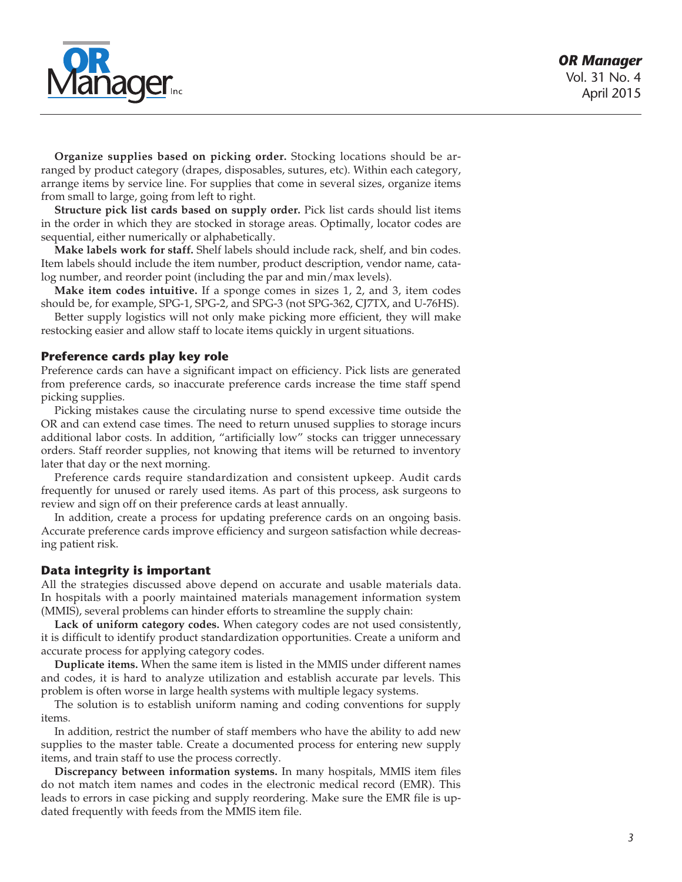

**Organize supplies based on picking order.** Stocking locations should be arranged by product category (drapes, disposables, sutures, etc). Within each category, arrange items by service line. For supplies that come in several sizes, organize items from small to large, going from left to right.

**Structure pick list cards based on supply order.** Pick list cards should list items in the order in which they are stocked in storage areas. Optimally, locator codes are sequential, either numerically or alphabetically.

**Make labels work for staff.** Shelf labels should include rack, shelf, and bin codes. Item labels should include the item number, product description, vendor name, catalog number, and reorder point (including the par and min/max levels).

**Make item codes intuitive.** If a sponge comes in sizes 1, 2, and 3, item codes should be, for example, SPG-1, SPG-2, and SPG-3 (not SPG-362, CJ7TX, and U-76HS).

Better supply logistics will not only make picking more efficient, they will make restocking easier and allow staff to locate items quickly in urgent situations.

#### **Preference cards play key role**

Preference cards can have a significant impact on efficiency. Pick lists are generated from preference cards, so inaccurate preference cards increase the time staff spend picking supplies.

Picking mistakes cause the circulating nurse to spend excessive time outside the OR and can extend case times. The need to return unused supplies to storage incurs additional labor costs. In addition, "artificially low" stocks can trigger unnecessary orders. Staff reorder supplies, not knowing that items will be returned to inventory later that day or the next morning.

Preference cards require standardization and consistent upkeep. Audit cards frequently for unused or rarely used items. As part of this process, ask surgeons to review and sign off on their preference cards at least annually.

In addition, create a process for updating preference cards on an ongoing basis. Accurate preference cards improve efficiency and surgeon satisfaction while decreasing patient risk.

#### **Data integrity is important**

All the strategies discussed above depend on accurate and usable materials data. In hospitals with a poorly maintained materials management information system (MMIS), several problems can hinder efforts to streamline the supply chain:

**Lack of uniform category codes.** When category codes are not used consistently, it is difficult to identify product standardization opportunities. Create a uniform and accurate process for applying category codes.

**Duplicate items.** When the same item is listed in the MMIS under different names and codes, it is hard to analyze utilization and establish accurate par levels. This problem is often worse in large health systems with multiple legacy systems.

The solution is to establish uniform naming and coding conventions for supply items.

In addition, restrict the number of staff members who have the ability to add new supplies to the master table. Create a documented process for entering new supply items, and train staff to use the process correctly.

**Discrepancy between information systems.** In many hospitals, MMIS item files do not match item names and codes in the electronic medical record (EMR). This leads to errors in case picking and supply reordering. Make sure the EMR file is updated frequently with feeds from the MMIS item file.